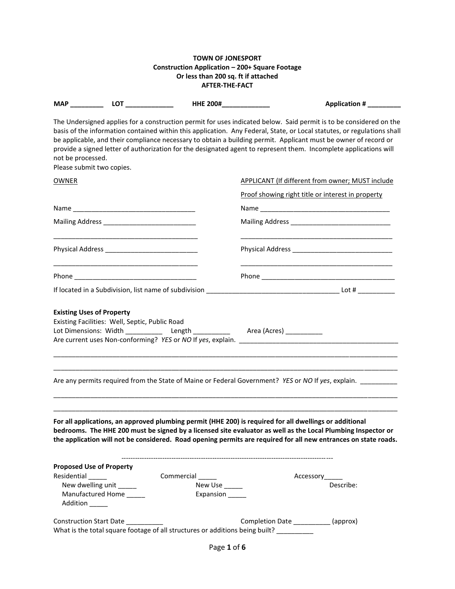### **TOWN OF JONESPORT Construction Application – 200+ Square Footage Or less than 200 sq. ft if attached AFTER-THE-FACT**

|                   |                                                             | HHE 200#______________       | Application # __________                                                                                                                                                                                                                                                                                                                                                                                                                                                              |
|-------------------|-------------------------------------------------------------|------------------------------|---------------------------------------------------------------------------------------------------------------------------------------------------------------------------------------------------------------------------------------------------------------------------------------------------------------------------------------------------------------------------------------------------------------------------------------------------------------------------------------|
| not be processed. | Please submit two copies.                                   |                              | The Undersigned applies for a construction permit for uses indicated below. Said permit is to be considered on the<br>basis of the information contained within this application. Any Federal, State, or Local statutes, or regulations shall<br>be applicable, and their compliance necessary to obtain a building permit. Applicant must be owner of record or<br>provide a signed letter of authorization for the designated agent to represent them. Incomplete applications will |
| <b>OWNER</b>      |                                                             |                              | <b>APPLICANT (If different from owner; MUST include</b>                                                                                                                                                                                                                                                                                                                                                                                                                               |
|                   |                                                             |                              | <u>Proof showing right title or interest in property</u>                                                                                                                                                                                                                                                                                                                                                                                                                              |
|                   |                                                             |                              |                                                                                                                                                                                                                                                                                                                                                                                                                                                                                       |
|                   | Mailing Address ______________________________              |                              |                                                                                                                                                                                                                                                                                                                                                                                                                                                                                       |
|                   |                                                             |                              |                                                                                                                                                                                                                                                                                                                                                                                                                                                                                       |
|                   |                                                             |                              |                                                                                                                                                                                                                                                                                                                                                                                                                                                                                       |
|                   |                                                             |                              |                                                                                                                                                                                                                                                                                                                                                                                                                                                                                       |
|                   |                                                             |                              | Lot Dimensions: Width _____________ Length ____________ Area (Acres) ___________<br>Are any permits required from the State of Maine or Federal Government? YES or NO If yes, explain.                                                                                                                                                                                                                                                                                                |
|                   |                                                             |                              | For all applications, an approved plumbing permit (HHE 200) is required for all dwellings or additional<br>bedrooms. The HHE 200 must be signed by a licensed site evaluator as well as the Local Plumbing Inspector or<br>the application will not be considered. Road opening permits are required for all new entrances on state roads.                                                                                                                                            |
| Residential       | <b>Proposed Use of Property</b><br>New dwelling unit ______ | Commercial<br>New Use ______ | Accessory<br>Describe:                                                                                                                                                                                                                                                                                                                                                                                                                                                                |
| Addition _____    | Manufactured Home                                           | Expansion                    |                                                                                                                                                                                                                                                                                                                                                                                                                                                                                       |
|                   | Construction Start Date __________                          |                              | Completion Date ___________ (approx)<br>What is the total square footage of all structures or additions being built? _________                                                                                                                                                                                                                                                                                                                                                        |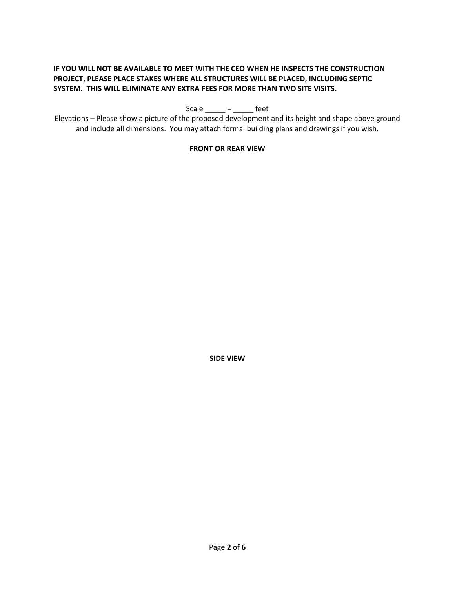# **IF YOU WILL NOT BE AVAILABLE TO MEET WITH THE CEO WHEN HE INSPECTS THE CONSTRUCTION PROJECT, PLEASE PLACE STAKES WHERE ALL STRUCTURES WILL BE PLACED, INCLUDING SEPTIC SYSTEM. THIS WILL ELIMINATE ANY EXTRA FEES FOR MORE THAN TWO SITE VISITS.**

Scale  $\_\_\_\_\$  =  $\_\_\_\$  feet

Elevations – Please show a picture of the proposed development and its height and shape above ground and include all dimensions. You may attach formal building plans and drawings if you wish.

### **FRONT OR REAR VIEW**

**SIDE VIEW**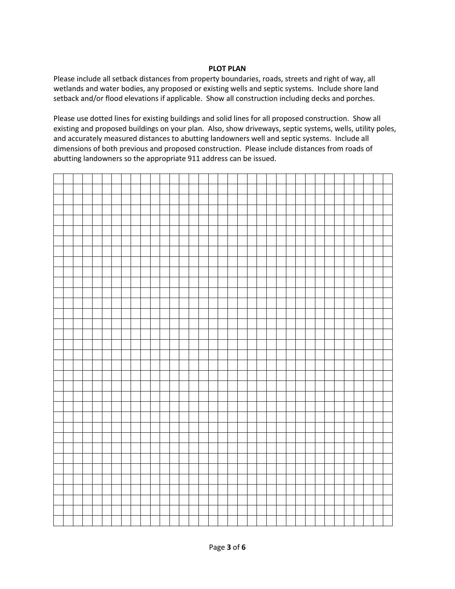### **PLOT PLAN**

Please include all setback distances from property boundaries, roads, streets and right of way, all wetlands and water bodies, any proposed or existing wells and septic systems. Include shore land setback and/or flood elevations if applicable. Show all construction including decks and porches.

Please use dotted lines for existing buildings and solid lines for all proposed construction. Show all existing and proposed buildings on your plan. Also, show driveways, septic systems, wells, utility poles, and accurately measured distances to abutting landowners well and septic systems. Include all dimensions of both previous and proposed construction. Please include distances from roads of abutting landowners so the appropriate 911 address can be issued.

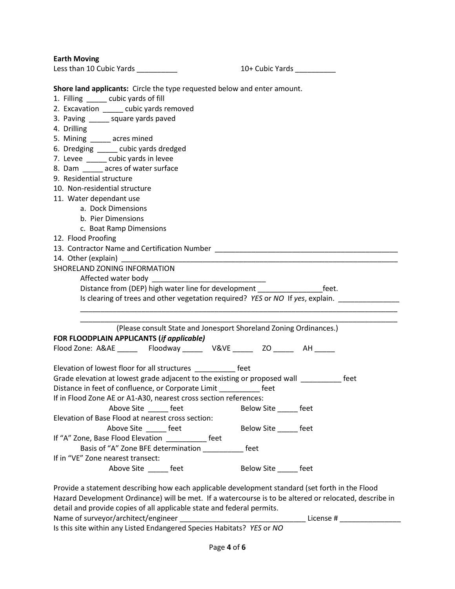**Earth Moving**

| Less than 10 Cubic Yards |
|--------------------------|
|                          |

10 + Cubic Yards \_\_\_\_\_\_\_\_\_\_

**Shore land applicants:** Circle the type requested below and enter amount.

- 1. Filling cubic yards of fill
- 2. Excavation \_\_\_\_\_ cubic yards removed
- 3. Paving \_\_\_\_\_ square yards paved
- 4. Drilling
- 5. Mining \_\_\_\_\_ acres mined
- 6. Dredging \_\_\_\_\_ cubic yards dredged
- 7. Levee \_\_\_\_\_ cubic yards in levee
- 8. Dam \_\_\_\_\_ acres of water surface
- 9. Residential structure
- 10. Non-residential structure
- 11. Water dependant use
	- a. Dock Dimensions
	- b. Pier Dimensions
	- c. Boat Ramp Dimensions
- 12. Flood Proofing
- 13. Contractor Name and Certification Number \_\_\_\_\_\_\_\_\_\_\_\_\_\_\_\_\_\_\_\_\_\_\_\_\_\_\_\_\_\_\_\_\_\_\_

14. Other (explain)

SHORELAND ZONING INFORMATION

Affected water body

Distance from (DEP) high water line for development \_\_\_\_\_\_\_\_\_\_\_\_\_\_\_\_\_\_\_\_\_feet.

\_\_\_\_\_\_\_\_\_\_\_\_\_\_\_\_\_\_\_\_\_\_\_\_\_\_\_\_\_\_\_\_\_\_\_\_\_\_\_\_\_\_\_\_\_\_\_\_\_\_\_\_\_\_\_\_\_\_\_\_\_\_\_\_\_\_\_\_\_\_\_\_\_\_\_\_\_\_

Is clearing of trees and other vegetation required? *YES* or *NO* If *yes*, explain. \_\_\_\_\_\_\_\_\_\_\_\_\_\_\_

\_\_\_\_\_\_\_\_\_\_\_\_\_\_\_\_\_\_\_\_\_\_\_\_\_\_\_\_\_\_\_\_\_\_\_\_\_\_\_\_\_\_\_\_\_\_\_\_\_\_\_\_\_\_\_\_\_\_\_\_\_\_\_\_\_\_\_\_\_\_\_\_\_\_\_\_\_\_ (Please consult State and Jonesport Shoreland Zoning Ordinances.) **FOR FLOODPLAIN APPLICANTS (***if applicable)*

Flood Zone: A&AE \_\_\_\_\_\_ Floodway \_\_\_\_\_\_ V&VE \_\_\_\_\_ ZO \_\_\_\_\_\_ AH

| Elevation of lowest floor for all structures                              | feet |      |
|---------------------------------------------------------------------------|------|------|
| Grade elevation at lowest grade adjacent to the existing or proposed wall |      | feet |

Distance in feet of confluence, or Corporate Limit \_\_\_\_\_\_\_\_\_\_\_ feet

If in Flood Zone AE or A1-A30, nearest cross section references: Above Site \_\_\_\_\_\_ feet Below Site \_\_\_\_\_ feet Elevation of Base Flood at nearest cross section:

Above Site \_\_\_\_\_ feet Below Site \_\_\_\_\_ feet If "A" Zone, Base Flood Elevation **Figure 1** feet

Basis of "A" Zone BFE determination \_\_\_\_\_\_\_\_\_\_ feet If in "VE" Zone nearest transect:

Above Site \_\_\_\_\_\_ feet \_\_\_\_\_\_ Below Site \_\_\_\_\_ feet

Provide a statement describing how each applicable development standard (set forth in the Flood Hazard Development Ordinance) will be met. If a watercourse is to be altered or relocated, describe in detail and provide copies of all applicable state and federal permits. Name of surveyor/architect/engineer \_\_\_\_\_\_\_\_\_\_\_\_\_\_\_\_\_\_\_\_\_\_\_\_\_\_\_\_\_\_\_ License # \_\_\_\_\_\_\_\_\_\_\_\_\_\_\_

Is this site within any Listed Endangered Species Habitats? *YES* or *NO*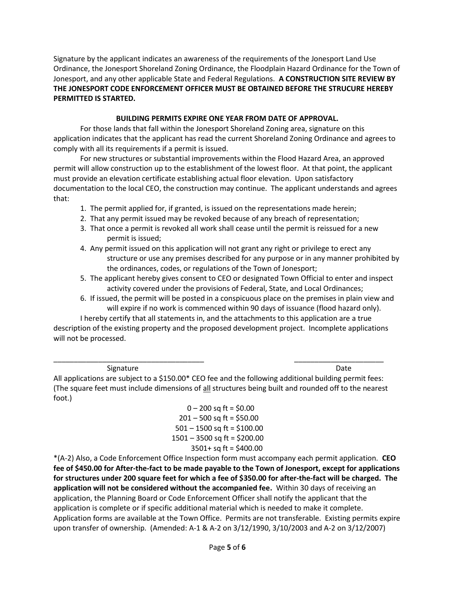Signature by the applicant indicates an awareness of the requirements of the Jonesport Land Use Ordinance, the Jonesport Shoreland Zoning Ordinance, the Floodplain Hazard Ordinance for the Town of Jonesport, and any other applicable State and Federal Regulations. **A CONSTRUCTION SITE REVIEW BY THE JONESPORT CODE ENFORCEMENT OFFICER MUST BE OBTAINED BEFORE THE STRUCURE HEREBY PERMITTED IS STARTED.**

# **BUILDING PERMITS EXPIRE ONE YEAR FROM DATE OF APPROVAL.**

For those lands that fall within the Jonesport Shoreland Zoning area, signature on this application indicates that the applicant has read the current Shoreland Zoning Ordinance and agrees to comply with all its requirements if a permit is issued.

For new structures or substantial improvements within the Flood Hazard Area, an approved permit will allow construction up to the establishment of the lowest floor. At that point, the applicant must provide an elevation certificate establishing actual floor elevation. Upon satisfactory documentation to the local CEO, the construction may continue. The applicant understands and agrees that:

- 1. The permit applied for, if granted, is issued on the representations made herein;
- 2. That any permit issued may be revoked because of any breach of representation;
- 3. That once a permit is revoked all work shall cease until the permit is reissued for a new permit is issued;
- 4. Any permit issued on this application will not grant any right or privilege to erect any structure or use any premises described for any purpose or in any manner prohibited by the ordinances, codes, or regulations of the Town of Jonesport;
- 5. The applicant hereby gives consent to CEO or designated Town Official to enter and inspect activity covered under the provisions of Federal, State, and Local Ordinances;
- 6. If issued, the permit will be posted in a conspicuous place on the premises in plain view and will expire if no work is commenced within 90 days of issuance (flood hazard only).

I hereby certify that all statements in, and the attachments to this application are a true description of the existing property and the proposed development project. Incomplete applications will not be processed.

Signature Date Date Communications and the Date Date Date Date

All applications are subject to a \$150.00\* CEO fee and the following additional building permit fees: (The square feet must include dimensions of all structures being built and rounded off to the nearest foot.)

\_\_\_\_\_\_\_\_\_\_\_\_\_\_\_\_\_\_\_\_\_\_\_\_\_\_\_\_\_\_\_\_\_\_\_\_\_ \_\_\_\_\_\_\_\_\_\_\_\_\_\_\_\_\_\_\_\_\_\_

 $0 - 200$  sq ft = \$0.00  $201 - 500$  sq ft = \$50.00  $501 - 1500$  sq ft = \$100.00 1501 – 3500 sq ft = \$200.00 3501+ sq ft = \$400.00

\*(A-2) Also, a Code Enforcement Office Inspection form must accompany each permit application. **CEO fee of \$450.00 for After-the-fact to be made payable to the Town of Jonesport, except for applications for structures under 200 square feet for which a fee of \$350.00 for after-the-fact will be charged. The application will not be considered without the accompanied fee.** Within 30 days of receiving an application, the Planning Board or Code Enforcement Officer shall notify the applicant that the application is complete or if specific additional material which is needed to make it complete. Application forms are available at the Town Office. Permits are not transferable. Existing permits expire upon transfer of ownership. (Amended: A-1 & A-2 on 3/12/1990, 3/10/2003 and A-2 on 3/12/2007)